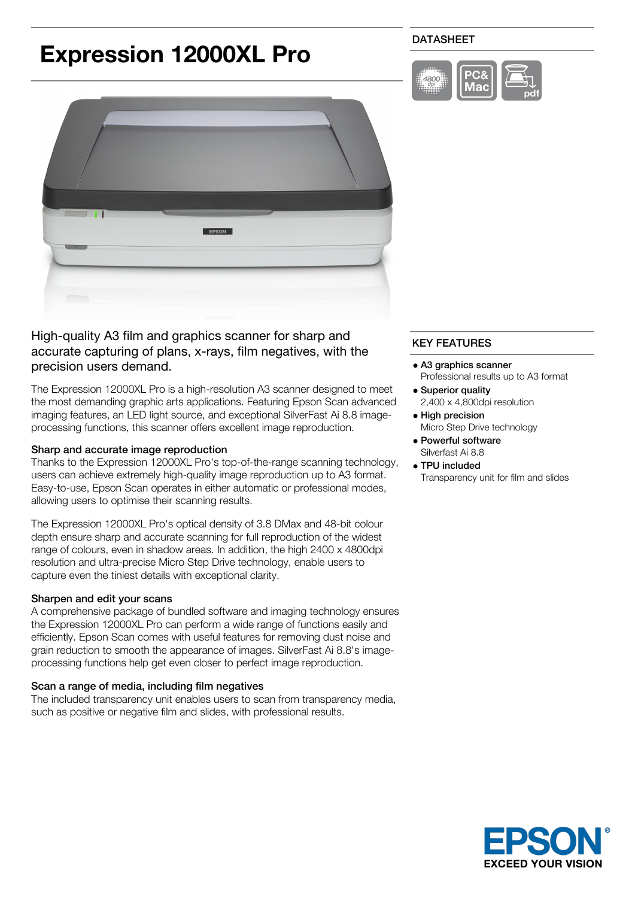# **Expression 12000XL Pro**

# DATASHEET





High-quality A3 film and graphics scanner for sharp and accurate capturing of plans, x-rays, film negatives, with the precision users demand.

The Expression 12000XL Pro is a high-resolution A3 scanner designed to meet the most demanding graphic arts applications. Featuring Epson Scan advanced imaging features, an LED light source, and exceptional SilverFast Ai 8.8 imageprocessing functions, this scanner offers excellent image reproduction.

#### Sharp and accurate image reproduction

Thanks to the Expression 12000XL Pro's top-of-the-range scanning technology, users can achieve extremely high-quality image reproduction up to A3 format. Easy-to-use, Epson Scan operates in either automatic or professional modes, allowing users to optimise their scanning results.

The Expression 12000XL Pro's optical density of 3.8 DMax and 48-bit colour depth ensure sharp and accurate scanning for full reproduction of the widest range of colours, even in shadow areas. In addition, the high 2400 x 4800dpi resolution and ultra-precise Micro Step Drive technology, enable users to capture even the tiniest details with exceptional clarity.

## Sharpen and edit your scans

A comprehensive package of bundled software and imaging technology ensures the Expression 12000XL Pro can perform a wide range of functions easily and efficiently. Epson Scan comes with useful features for removing dust noise and grain reduction to smooth the appearance of images. SilverFast Ai 8.8's imageprocessing functions help get even closer to perfect image reproduction.

#### Scan a range of media, including film negatives

The included transparency unit enables users to scan from transparency media, such as positive or negative film and slides, with professional results.

# KEY FEATURES

- A3 graphics scanner Professional results up to A3 format
- Superior quality 2,400 x 4,800dpi resolution
- High precision Micro Step Drive technology
- Powerful software Silverfast Ai 8.8
- TPU included

Transparency unit for film and slides

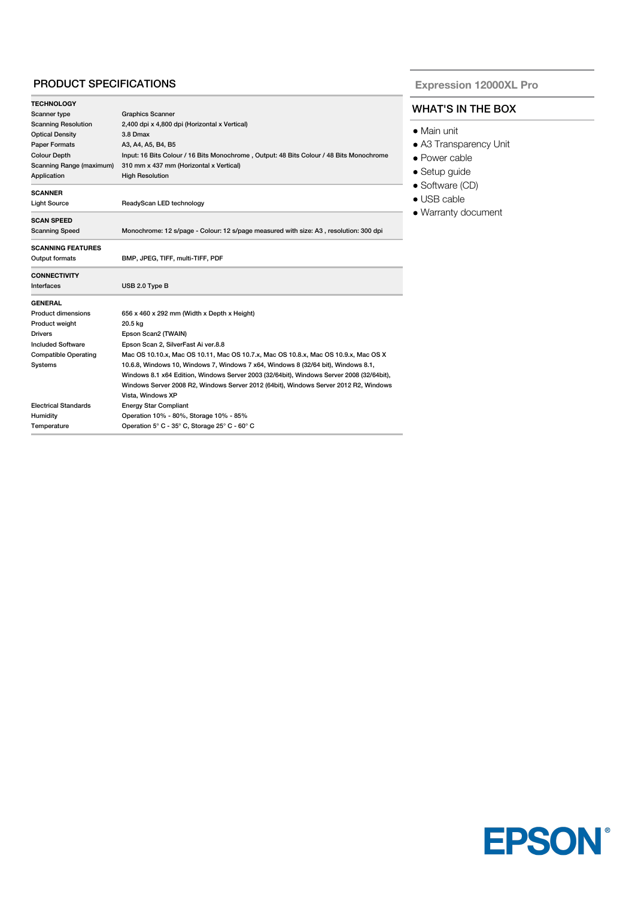## PRODUCT SPECIFICATIONS

| Scanner type                | <b>Graphics Scanner</b>                                                                  |
|-----------------------------|------------------------------------------------------------------------------------------|
| <b>Scanning Resolution</b>  | 2,400 dpi x 4,800 dpi (Horizontal x Vertical)                                            |
| <b>Optical Density</b>      | 3.8 Dmax                                                                                 |
| <b>Paper Formats</b>        | A3, A4, A5, B4, B5                                                                       |
| <b>Colour Depth</b>         | Input: 16 Bits Colour / 16 Bits Monochrome, Output: 48 Bits Colour / 48 Bits Monochrome  |
| Scanning Range (maximum)    | 310 mm x 437 mm (Horizontal x Vertical)                                                  |
| Application                 | <b>High Resolution</b>                                                                   |
| <b>SCANNER</b>              |                                                                                          |
| Light Source                | ReadyScan LED technology                                                                 |
| <b>SCAN SPEED</b>           |                                                                                          |
| <b>Scanning Speed</b>       | Monochrome: 12 s/page - Colour: 12 s/page measured with size: A3, resolution: 300 dpi    |
| <b>SCANNING FEATURES</b>    |                                                                                          |
| Output formats              | BMP, JPEG, TIFF, multi-TIFF, PDF                                                         |
| <b>CONNECTIVITY</b>         |                                                                                          |
| Interfaces                  | USB 2.0 Type B                                                                           |
| <b>GENERAL</b>              |                                                                                          |
| <b>Product dimensions</b>   | 656 x 460 x 292 mm (Width x Depth x Height)                                              |
| Product weight              | 20.5 kg                                                                                  |
|                             | Epson Scan2 (TWAIN)                                                                      |
| <b>Drivers</b>              |                                                                                          |
| <b>Included Software</b>    | Epson Scan 2, SilverFast Ai ver.8.8                                                      |
| <b>Compatible Operating</b> | Mac OS 10.10.x, Mac OS 10.11, Mac OS 10.7.x, Mac OS 10.8.x, Mac OS 10.9.x, Mac OS X      |
| Systems                     | 10.6.8, Windows 10, Windows 7, Windows 7 x64, Windows 8 (32/64 bit), Windows 8.1,        |
|                             | Windows 8.1 x64 Edition, Windows Server 2003 (32/64bit), Windows Server 2008 (32/64bit), |
|                             | Windows Server 2008 R2, Windows Server 2012 (64bit), Windows Server 2012 R2, Windows     |
|                             | Vista, Windows XP                                                                        |
| <b>Electrical Standards</b> | <b>Energy Star Compliant</b>                                                             |
| Humidity                    | Operation 10% - 80%, Storage 10% - 85%                                                   |

**Expression 12000XL Pro**

# WHAT'S IN THE BOX

- Main unit
- A3 Transparency Unit
- Power cable
- Setup guide
- Software (CD)
- USB cable
- Warranty document